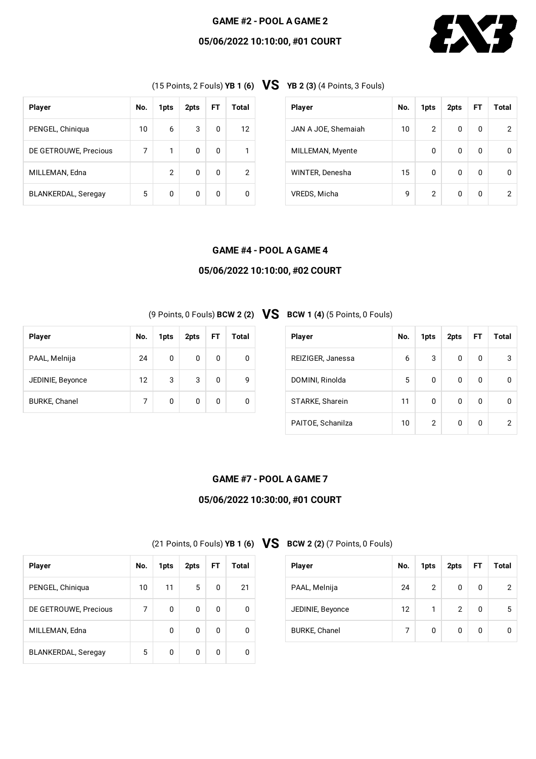# **GAME #2 - POOL A GAME 2**

# **05/06/2022 10:10:00, #01 COURT**



(15 Points, <sup>2</sup> Fouls) **YB <sup>1</sup> (6) VS YB <sup>2</sup> (3)** (4 Points, <sup>3</sup> Fouls)

| <b>Player</b>              | No. | 1pts | 2pts | FT | Total |
|----------------------------|-----|------|------|----|-------|
| PENGEL, Chiniqua           | 10  | 6    | 3    | 0  | 12    |
| DE GETROUWE, Precious      | 7   | 1    | 0    | 0  |       |
| MILLEMAN, Edna             |     | 2    | 0    | 0  | 2     |
| <b>BLANKERDAL, Seregay</b> | 5   | 0    | 0    | 0  |       |

| <b>Player</b>       | No. | 1pts           | 2pts | FT | Total |
|---------------------|-----|----------------|------|----|-------|
| JAN A JOE, Shemaiah | 10  | $\overline{2}$ | 0    | 0  | 2     |
| MILLEMAN, Myente    |     | 0              | 0    | 0  | 0     |
| WINTER, Denesha     | 15  | 0              | 0    | 0  |       |
| VREDS, Micha        | 9   | $\overline{2}$ | 0    | 0  | 2     |

### **GAME #4 - POOL A GAME 4**

### **05/06/2022 10:10:00, #02 COURT**

| <b>Player</b>        | No. | 1pts | 2pts | <b>FT</b> | Total |
|----------------------|-----|------|------|-----------|-------|
| PAAL, Melnija        | 24  | 0    | 0    | 0         |       |
| JEDINIE, Beyonce     | 12  | 3    | 3    | 0         | g     |
| <b>BURKE, Chanel</b> | 7   | 0    | 0    | 0         |       |

# (9 Points, <sup>0</sup> Fouls) **BCW <sup>2</sup> (2) VS BCW <sup>1</sup> (4)** (5 Points, <sup>0</sup> Fouls)

| <b>Player</b>     | No. | 1pts           | 2pts | FT. | Total |
|-------------------|-----|----------------|------|-----|-------|
| REIZIGER, Janessa | 6   | 3              | 0    | 0   | 3     |
| DOMINI, Rinolda   | 5   | 0              | 0    | 0   | 0     |
| STARKE, Sharein   | 11  | 0              | 0    | 0   |       |
| PAITOE, Schanilza | 10  | $\overline{2}$ | 0    | 0   | 2     |

### **GAME #7 - POOL A GAME 7**

# **05/06/2022 10:30:00, #01 COURT**

(21 Points, <sup>0</sup> Fouls) **YB <sup>1</sup> (6) VS BCW <sup>2</sup> (2)** (7 Points, <sup>0</sup> Fouls)

| <b>Player</b>        | No. | 1pts           | 2pts           | FT | Total |
|----------------------|-----|----------------|----------------|----|-------|
| PAAL, Melnija        | 24  | $\overline{2}$ | 0              | 0  | 2     |
| JEDINIE, Beyonce     | 12  | 1              | $\overline{2}$ | 0  | 5     |
| <b>BURKE, Chanel</b> | 7   | 0              | 0              | 0  |       |

| <b>Player</b>              | No. | 1pts | 2pts | FT. | Total |
|----------------------------|-----|------|------|-----|-------|
| PENGEL, Chiniqua           | 10  | 11   | 5    | 0   | 21    |
| DE GETROUWE, Precious      | 7   | 0    | 0    | 0   | 0     |
| MILLEMAN, Edna             |     | 0    | 0    | 0   | 0     |
| <b>BLANKERDAL, Seregay</b> | 5   | 0    | 0    | O   |       |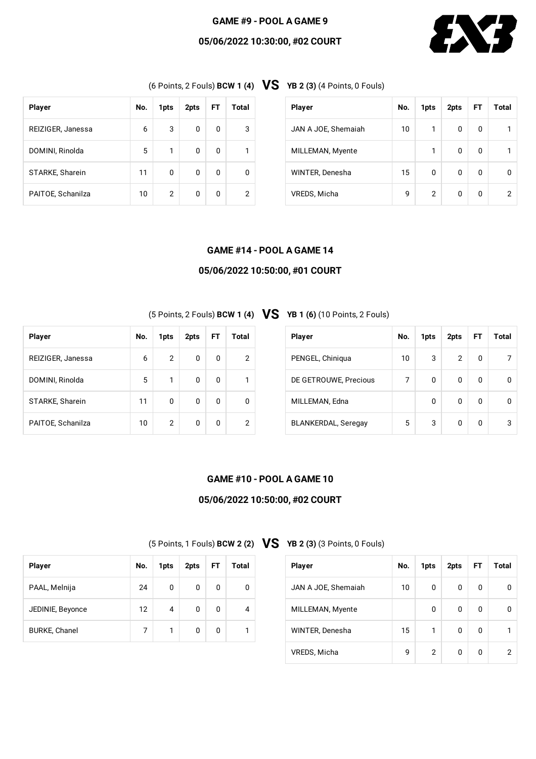### **GAME #9 - POOL A GAME 9**

### **05/06/2022 10:30:00, #02 COURT**



(6 Points, <sup>2</sup> Fouls) **BCW <sup>1</sup> (4) VS YB <sup>2</sup> (3)** (4 Points, <sup>0</sup> Fouls)

| <b>Player</b>     | No. | 1pts | 2pts | <b>FT</b> | Total |
|-------------------|-----|------|------|-----------|-------|
| REIZIGER, Janessa | 6   | 3    | 0    | 0         | 3     |
| DOMINI, Rinolda   | 5   | 1    | 0    | 0         | 1     |
| STARKE, Sharein   | 11  | 0    | 0    | 0         |       |
| PAITOE, Schanilza | 10  | 2    | 0    | 0         | 2     |

| <b>Player</b>       | No. | 1pts | 2pts | FT | Total |
|---------------------|-----|------|------|----|-------|
| JAN A JOE, Shemaiah | 10  | 1    | 0    | 0  |       |
| MILLEMAN, Myente    |     | 1    | 0    | 0  |       |
| WINTER, Denesha     | 15  | 0    | 0    | 0  |       |
| VREDS, Micha        | 9   | 2    | 0    | 0  | 2     |

### **GAME #14 - POOL A GAME 14**

### **05/06/2022 10:50:00, #01 COURT**

(5 Points, <sup>2</sup> Fouls) **BCW <sup>1</sup> (4) VS YB <sup>1</sup> (6)** (10 Points, <sup>2</sup> Fouls)

| <b>Player</b>     | No. | 1pts           | 2pts | FT. | Total |
|-------------------|-----|----------------|------|-----|-------|
| REIZIGER, Janessa | 6   | $\overline{2}$ | 0    | 0   | 2     |
| DOMINI, Rinolda   | 5   | $\mathbf{1}$   | 0    | 0   |       |
| STARKE, Sharein   | 11  | 0              | 0    | 0   |       |
| PAITOE, Schanilza | 10  | 2              | 0    | 0   | 2     |

**Player No. 1pts 2pts FT Total**

PAAL, Melnija  $\begin{array}{|c|c|c|c|c|c|}\n\hline\n24 & 0 & 0 & 0 & 0\n\end{array}$ 

JEDINIE, Beyonce  $\begin{array}{|c|c|c|c|c|c|c|c|c|} \hline 12 & 4 & 0 & 0 & 4 \ \hline \end{array}$ 

BURKE, Chanel 7 1 0 0 1

| <b>Player</b>              | No. | 1pts | 2pts | FT | Total |
|----------------------------|-----|------|------|----|-------|
| PENGEL, Chiniqua           | 10  | 3    | 2    | 0  |       |
| DE GETROUWE, Precious      | 7   | 0    | 0    | 0  | n     |
| MILLEMAN, Edna             |     | 0    | 0    | 0  | 0     |
| <b>BLANKERDAL, Seregay</b> | 5   | 3    | O    | O  | 3     |

### **GAME #10 - POOL A GAME 10**

# **05/06/2022 10:50:00, #02 COURT**

(5 Points, <sup>1</sup> Fouls) **BCW <sup>2</sup> (2) VS YB <sup>2</sup> (3)** (3 Points, <sup>0</sup> Fouls)

| <b>Player</b>       | No. | 1pts | 2pts | <b>FT</b> | Total |
|---------------------|-----|------|------|-----------|-------|
| JAN A JOE, Shemaiah | 10  | 0    | 0    | O         |       |
| MILLEMAN, Myente    |     | 0    | 0    | 0         |       |
| WINTER, Denesha     | 15  | 1    | 0    | O         |       |
| VREDS, Micha        | 9   | 2    | 0    | O         |       |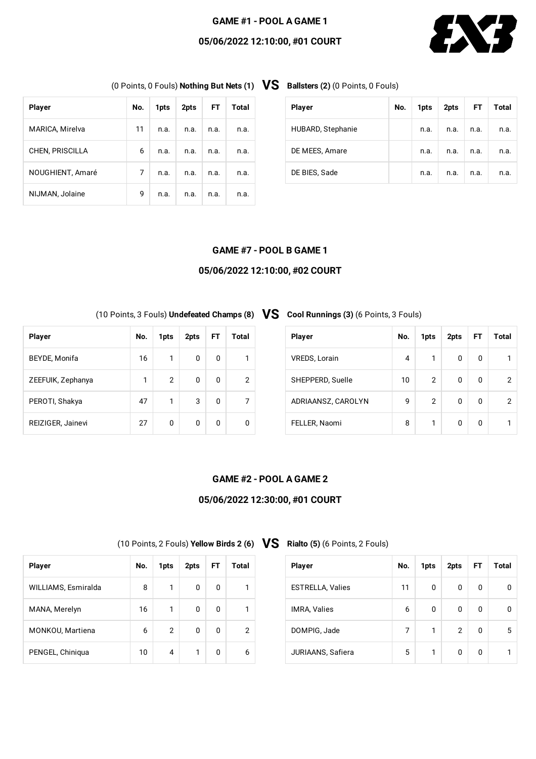### **GAME #1 - POOL A GAME 1**

### **05/06/2022 12:10:00, #01 COURT**



(0 Points, <sup>0</sup> Fouls) **Nothing But Nets (1) VS Ballsters (2)** (0 Points, <sup>0</sup> Fouls)

| <b>Player</b>          | No. | 1pts | 2pts | FT.  | Total |
|------------------------|-----|------|------|------|-------|
| MARICA, Mirelva        | 11  | n.a. | n.a. | n.a. | n.a.  |
| <b>CHEN, PRISCILLA</b> | 6   | n.a. | n.a. | n.a. | n.a.  |
| NOUGHIENT, Amaré       | 7   | n.a. | n.a. | n.a. | n.a.  |
| NIJMAN, Jolaine        | 9   | n.a. | n.a. | n.a. | n.a.  |

| <b>Player</b>     | No. | 1pts | 2pts | FT.  | Total |
|-------------------|-----|------|------|------|-------|
| HUBARD, Stephanie |     | n.a. | n.a. | n.a. | n.a.  |
| DE MEES, Amare    |     | n.a. | n.a. | n.a. | n.a.  |
| DE BIES, Sade     |     | n.a. | n.a. | n.a. | n.a.  |

#### **GAME #7 - POOL B GAME 1**

### **05/06/2022 12:10:00, #02 COURT**

(10 Points, <sup>3</sup> Fouls) **Undefeated Champs (8) VS Cool Runnings (3)** (6 Points, <sup>3</sup> Fouls)

| <b>Player</b>     | No. | 1pts | 2pts | FT. | Total |
|-------------------|-----|------|------|-----|-------|
| BEYDE, Monifa     | 16  | 1    | 0    | 0   |       |
| ZEEFUIK, Zephanya | 1   | 2    | 0    | 0   | 2     |
| PEROTI, Shakya    | 47  | 1    | 3    | 0   | 7     |
| REIZIGER, Jainevi | 27  | 0    | 0    | 0   |       |

**Player No. 1pts 2pts FT Total**

WILLIAMS, Esmiralda 8 1 0 0 1

MANA, Merelyn 16 1 0 0 1

MONKOU, Martiena  $\begin{array}{|c|c|c|c|c|c|c|c|} \hline \text{MONKOU, Martiena} & \text{6} & \text{2} & \text{0} & \text{0} & \text{2} \ \hline \end{array}$ 

PENGEL, Chiniqua 10 4 1 0 6

| <b>Player</b>        | No. | 1pts | 2pts | FT. | Total |
|----------------------|-----|------|------|-----|-------|
| <b>VREDS, Lorain</b> | 4   | 1    | 0    | 0   |       |
| SHEPPERD, Suelle     | 10  | 2    | 0    | 0   | 2     |
| ADRIAANSZ, CAROLYN   | 9   | 2    | 0    | 0   | 2     |
| FELLER, Naomi        | 8   | 1    | 0    | O   |       |

# **GAME #2 - POOL A GAME 2**

#### **05/06/2022 12:30:00, #01 COURT**

(10 Points, <sup>2</sup> Fouls) **Yellow Birds <sup>2</sup> (6) VS Rialto (5)** (6 Points, <sup>2</sup> Fouls)

| <b>Player</b>           | No. | 1pts | 2pts           | <b>FT</b> | Total |
|-------------------------|-----|------|----------------|-----------|-------|
| <b>ESTRELLA, Valies</b> | 11  | 0    | 0              | 0         |       |
| <b>IMRA, Valies</b>     | 6   | 0    | 0              | 0         | n     |
| DOMPIG, Jade            | 7   | 1    | $\overline{2}$ | $\Omega$  | 5     |
| JURIAANS, Safiera       | 5   | 1    | 0              | 0         |       |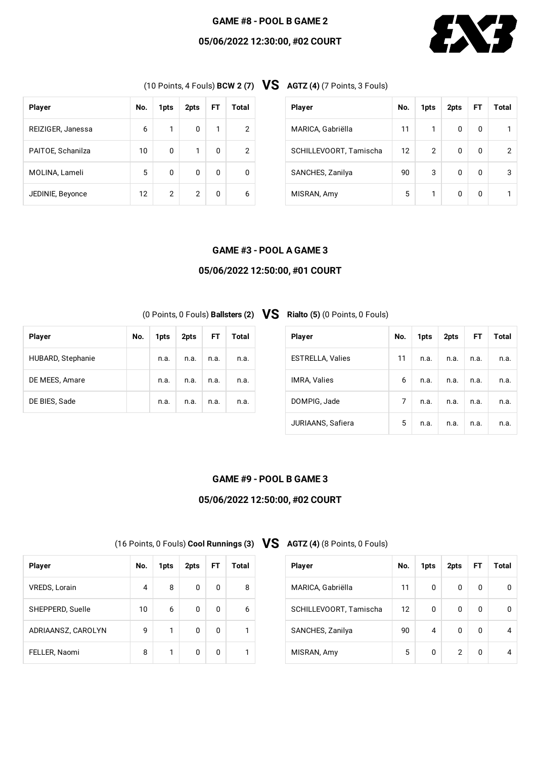### **GAME #8 - POOL B GAME 2**

# **05/06/2022 12:30:00, #02 COURT**



(10 Points, <sup>4</sup> Fouls) **BCW <sup>2</sup> (7) VS AGTZ (4)** (7 Points, <sup>3</sup> Fouls)

| <b>Player</b>     | No. | 1pts | 2pts | FT. | Total |
|-------------------|-----|------|------|-----|-------|
| REIZIGER, Janessa | 6   | 1    | 0    | 1   | 2     |
| PAITOE, Schanilza | 10  | 0    | 1    | 0   | 2     |
| MOLINA, Lameli    | 5   | 0    | 0    | 0   |       |
| JEDINIE, Beyonce  | 12  | 2    | 2    | 0   | 6     |

| <b>Player</b>          | No. | 1pts | 2pts | FT       | Total |
|------------------------|-----|------|------|----------|-------|
| MARICA, Gabriëlla      | 11  | 1    | 0    | 0        |       |
| SCHILLEVOORT, Tamischa | 12  | 2    | 0    | $\Omega$ | 2     |
| SANCHES, Zanilya       | 90  | 3    | 0    | 0        | 3     |
| MISRAN, Amy            | 5   | 1    | 0    | 0        |       |

#### **GAME #3 - POOL A GAME 3**

### **05/06/2022 12:50:00, #01 COURT**

**(0 Points, 0 Fouls) Ballsters (2) VS** 

| <b>Player</b>           | No. | 1pts | 2pts | FT.  | Total |
|-------------------------|-----|------|------|------|-------|
| <b>ESTRELLA, Valies</b> | 11  | n.a. | n.a. | n.a. | n.a.  |
| <b>IMRA, Valies</b>     | 6   | n.a. | n.a. | n.a. | n.a.  |
| DOMPIG, Jade            | 7   | n.a. | n.a. | n.a. | n.a.  |
| JURIAANS, Safiera       | 5   | n.a. | n.a. | n.a. | n.a.  |

### **GAME #9 - POOL B GAME 3**

# **05/06/2022 12:50:00, #02 COURT**

(16 Points, <sup>0</sup> Fouls) **Cool Runnings (3) VS AGTZ (4)** (8 Points, <sup>0</sup> Fouls)

| <b>Player</b>          | No. | 1pts | 2pts | FT | Total |
|------------------------|-----|------|------|----|-------|
| MARICA, Gabriëlla      | 11  | 0    | 0    | 0  | n     |
| SCHILLEVOORT, Tamischa | 12  | 0    | 0    | O  | n     |
| SANCHES, Zanilya       | 90  | 4    | 0    | 0  |       |
| MISRAN, Amy            | 5   | 0    | 2    | O  |       |

| <b>Player</b>        | No. | 1pts | 2pts | FT | Total |
|----------------------|-----|------|------|----|-------|
| <b>VREDS, Lorain</b> | 4   | 8    | 0    | 0  | 8     |
| SHEPPERD, Suelle     | 10  | 6    | 0    | 0  | 6     |
| ADRIAANSZ, CAROLYN   | 9   | 1    | 0    | 0  |       |
| FELLER, Naomi        | 8   | 1    | 0    | 0  |       |

| <b>Player</b>     | No. | 1pts | 2pts l | FT.  | Total |
|-------------------|-----|------|--------|------|-------|
| HUBARD, Stephanie |     | n.a. | n.a.   | n.a. | n.a.  |
| DE MEES, Amare    |     | n.a. | n.a.   | n.a. | n.a.  |
| DE BIES, Sade     |     | n.a. | n.a.   | n.a. | n.a.  |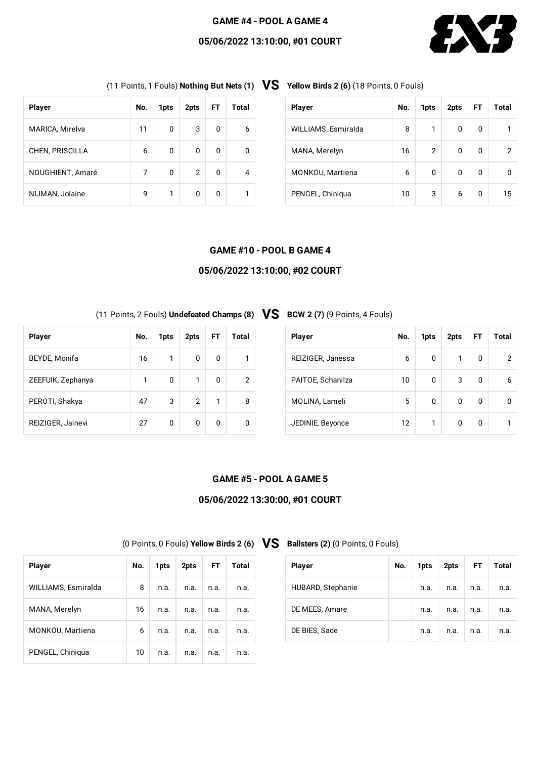#### **GAME #4 - POOL A GAME 4**

### **05/06/2022 13:10:00, #01 COURT**



(11 Points, <sup>1</sup> Fouls) **Nothing But Nets (1) VS Yellow Birds <sup>2</sup> (6)** (18 Points, <sup>0</sup> Fouls)

| <b>Player</b>          | No. | 1pts | 2pts           | <b>FT</b> | Total |
|------------------------|-----|------|----------------|-----------|-------|
|                        |     |      |                |           |       |
| MARICA, Mirelva        | 11  | 0    | 3              | 0         | 6     |
| <b>CHEN, PRISCILLA</b> | 6   | 0    | 0              | 0         | 0     |
| NOUGHIENT, Amaré       | 7   | 0    | $\overline{2}$ | 0         | 4     |
| NIJMAN, Jolaine        | 9   | 1    | 0              | 0         |       |

| <b>Player</b>       | No. | 1pts | 2pts | FT | Total |
|---------------------|-----|------|------|----|-------|
| WILLIAMS, Esmiralda | 8   | 1    | 0    | 0  |       |
| MANA, Merelyn       | 16  | 2    | 0    | 0  | 2     |
| MONKOU, Martiena    | 6   | 0    | 0    | 0  | 0     |
| PENGEL, Chiniqua    | 10  | 3    | 6    | 0  | 15    |

#### **GAME #10 - POOL B GAME 4**

### **05/06/2022 13:10:00, #02 COURT**

(11 Points, <sup>2</sup> Fouls) **Undefeated Champs (8) VS BCW <sup>2</sup> (7)** (9 Points, <sup>4</sup> Fouls)

| <b>Player</b>     | No. | 1pts | 2pts | FT | Total |
|-------------------|-----|------|------|----|-------|
| BEYDE, Monifa     | 16  | 1    | 0    | 0  | 1     |
| ZEEFUIK, Zephanya | 1   | 0    | 1    | 0  | 2     |
| PEROTI, Shakya    | 47  | 3    | 2    | 1  | 8     |
| REIZIGER, Jainevi | 27  | 0    | 0    | 0  |       |

**Player No. 1pts 2pts FT Total**

WILLIAMS, Esmiralda 8 n.a. n.a. n.a. n.a.

MANA, Merelyn 16 n.a. n.a. n.a. n.a.

MONKOU, Martiena 1990 | 6 | n.a. | n.a. | n.a. | n.a.

PENGEL, Chiniqua 10 n.a. n.a. n.a. n.a.

| <b>Player</b>     | No. | 1pts | 2pts | FT | Total |
|-------------------|-----|------|------|----|-------|
| REIZIGER, Janessa | 6   | 0    | 1    | 0  | 2     |
| PAITOE, Schanilza | 10  | 0    | 3    | 0  | 6     |
| MOLINA, Lameli    | 5   | 0    | 0    | 0  |       |
| JEDINIE, Beyonce  | 12  | 1    | 0    | O  |       |

### **GAME #5 - POOL A GAME 5**

#### **05/06/2022 13:30:00, #01 COURT**

(0 Points, <sup>0</sup> Fouls) **Yellow Birds <sup>2</sup> (6) VS Ballsters (2)** (0 Points, <sup>0</sup> Fouls)

| <b>Player</b>     | No. | 1pts | 2pts | <b>FT</b> | Total |
|-------------------|-----|------|------|-----------|-------|
| HUBARD, Stephanie |     | n.a. | n.a. | n.a.      | n.a.  |
| DE MEES, Amare    |     | n.a. | n.a. | n.a.      | n.a.  |
| DE BIES, Sade     |     | n.a. | n.a. | n.a.      | n.a.  |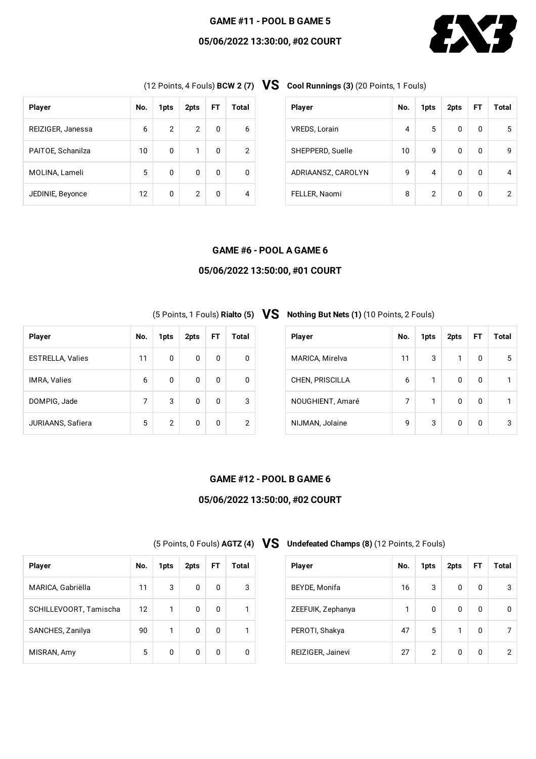### **GAME #11 - POOL B GAME 5**

### **05/06/2022 13:30:00, #02 COURT**



| <b>Player</b>     | No. | 1pts           | 2pts | FT. | Total |
|-------------------|-----|----------------|------|-----|-------|
| REIZIGER, Janessa | 6   | $\overline{2}$ | 2    | 0   | 6     |
| PAITOE, Schanilza | 10  | 0              | 1    | 0   | 2     |
| MOLINA, Lameli    | 5   | 0              | 0    | 0   |       |
| JEDINIE, Beyonce  | 12  | 0              | 2    | 0   |       |

(12 Points, <sup>4</sup> Fouls) **BCW <sup>2</sup> (7) VS Cool Runnings (3)** (20 Points, <sup>1</sup> Fouls)

| <b>Player</b>        | No. | 1pts | 2pts | <b>FT</b> | Total |
|----------------------|-----|------|------|-----------|-------|
| <b>VREDS, Lorain</b> | 4   | 5    | 0    | 0         | 5     |
| SHEPPERD, Suelle     | 10  | 9    | 0    | 0         | 9     |
| ADRIAANSZ, CAROLYN   | 9   | 4    | 0    | 0         |       |
| FELLER, Naomi        | 8   | 2    | 0    | 0         | 2     |

#### **GAME #6 - POOL A GAME 6**

### **05/06/2022 13:50:00, #01 COURT**

| <b>Player</b>           | No. | 1pts | 2pts | FT. | Total |
|-------------------------|-----|------|------|-----|-------|
| <b>ESTRELLA, Valies</b> | 11  | 0    | 0    | 0   | ŋ     |
| <b>IMRA, Valies</b>     | 6   | 0    | 0    | 0   | n     |
| DOMPIG, Jade            | 7   | 3    | 0    | 0   | 3     |
| JURIAANS, Safiera       | 5   | 2    | 0    | 0   | 2     |

# (5 Points, <sup>1</sup> Fouls) **Rialto (5) VS Nothing But Nets (1)** (10 Points, <sup>2</sup> Fouls)

| <b>Player</b>          | No. | 1pts | 2pts | FT | Total |
|------------------------|-----|------|------|----|-------|
| MARICA, Mirelva        | 11  | 3    | 1    | 0  | 5     |
| <b>CHEN, PRISCILLA</b> | 6   | 1    | 0    | O  |       |
| NOUGHIENT, Amaré       | 7   | 1    | 0    | O  |       |
| NIJMAN, Jolaine        | 9   | 3    | 0    | O  | 3     |

### **GAME #12 - POOL B GAME 6**

# **05/06/2022 13:50:00, #02 COURT**

(5 Points, <sup>0</sup> Fouls) **AGTZ (4) VS Undefeated Champs (8)** (12 Points, <sup>2</sup> Fouls)

| <b>Player</b>     | No. | 1pts | 2pts | <b>FT</b> | Total          |
|-------------------|-----|------|------|-----------|----------------|
| BEYDE, Monifa     | 16  | 3    | 0    | 0         | 3              |
| ZEEFUIK, Zephanya | 1   | 0    | 0    | 0         | <sup>0</sup>   |
| PEROTI, Shakya    | 47  | 5    | 1    | 0         |                |
| REIZIGER, Jainevi | 27  | 2    | 0    | 0         | $\overline{2}$ |

| <b>Player</b>          | No. | 1pts | 2pts | FT | Total |
|------------------------|-----|------|------|----|-------|
| MARICA, Gabriëlla      | 11  | 3    | 0    | 0  | 3     |
| SCHILLEVOORT, Tamischa | 12  | 1    | 0    | 0  |       |
| SANCHES, Zanilya       | 90  | 1    | 0    | 0  |       |
| MISRAN, Amy            | 5   | 0    | 0    | 0  | n     |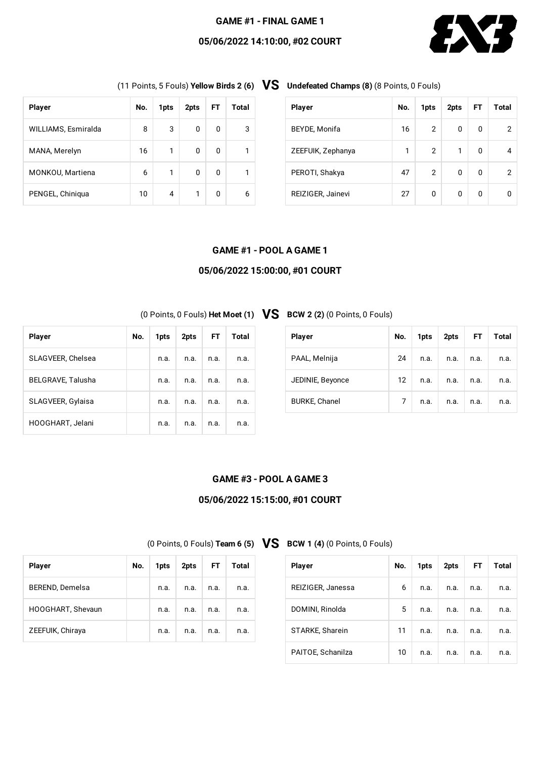### **GAME #1 - FINAL GAME 1**

### **05/06/2022 14:10:00, #02 COURT**



| <b>Player</b>       | No. | 1pts | 2pts | FT | Total |
|---------------------|-----|------|------|----|-------|
| WILLIAMS, Esmiralda | 8   | 3    | 0    | 0  | 3     |
| MANA, Merelyn       | 16  | 1    | 0    | 0  | 1     |
| MONKOU, Martiena    | 6   | 1    | 0    | 0  |       |
| PENGEL, Chiniqua    | 10  | 4    | 1    | 0  | 6     |

(11 Points, <sup>5</sup> Fouls) **Yellow Birds <sup>2</sup> (6) VS Undefeated Champs (8)** (8 Points, <sup>0</sup> Fouls)

| <b>Player</b>     | No. | 1pts           | 2pts | <b>FT</b> | Total |
|-------------------|-----|----------------|------|-----------|-------|
| BEYDE, Monifa     | 16  | $\overline{2}$ | 0    | 0         |       |
| ZEEFUIK, Zephanya | 1   | $\overline{2}$ | 1    | O         |       |
| PEROTI, Shakya    | 47  | 2              | 0    | O         | 2     |
| REIZIGER, Jainevi | 27  | 0              | 0    | O         |       |

#### **GAME #1 - POOL A GAME 1**

### **05/06/2022 15:00:00, #01 COURT**

(0 Points, <sup>0</sup> Fouls) **Het Moet (1) VS BCW <sup>2</sup> (2)** (0 Points, <sup>0</sup> Fouls)

| <b>Player</b>     | No. | 1pts | 2pts | FT.  | Total |
|-------------------|-----|------|------|------|-------|
| SLAGVEER, Chelsea |     | n.a. | n.a. | n.a. | n.a.  |
| BELGRAVE, Talusha |     | n.a. | n.a. | n.a. | n.a.  |
| SLAGVEER, Gylaisa |     | n.a. | n.a. | n.a. | n.a.  |
| HOOGHART, Jelani  |     | n.a. | n.a. | n.a. | n.a.  |

**Player No. 1pts 2pts FT Total**

BEREND, Demelsa | n.a. | n.a. | n.a. | n.a. | n.a.

HOOGHART, Shevaun n.a. n.a. n.a. n.a. n.a.

ZEEFUIK, Chiraya n.a. n.a. n.a. n.a.

| <b>Player</b>        | No.              | 1pts | 2pts | FT.  | Total |
|----------------------|------------------|------|------|------|-------|
| PAAL, Melnija        | 24               | n.a. | n.a. | n.a. | n.a.  |
| JEDINIE, Beyonce     | 12 <sup>12</sup> | n.a. | n.a. | n.a. | n.a.  |
| <b>BURKE, Chanel</b> | 7                | n.a. | n.a. | n.a. | n.a.  |

### **GAME #3 - POOL A GAME 3**

# **05/06/2022 15:15:00, #01 COURT**

(0 Points, <sup>0</sup> Fouls) **Team <sup>6</sup> (5) VS BCW <sup>1</sup> (4)** (0 Points, <sup>0</sup> Fouls)

| <b>Player</b>     | No. | 1pts | 2pts | FT.  | Total |
|-------------------|-----|------|------|------|-------|
| REIZIGER, Janessa | 6   | n.a. | n.a. | n.a. | n.a.  |
| DOMINI, Rinolda   | 5   | n.a. | n.a. | n.a. | n.a.  |
| STARKE, Sharein   | 11  | n.a. | n.a. | n.a. | n.a.  |
| PAITOE, Schanilza | 10  | n.a. | n.a. | n.a. | n.a.  |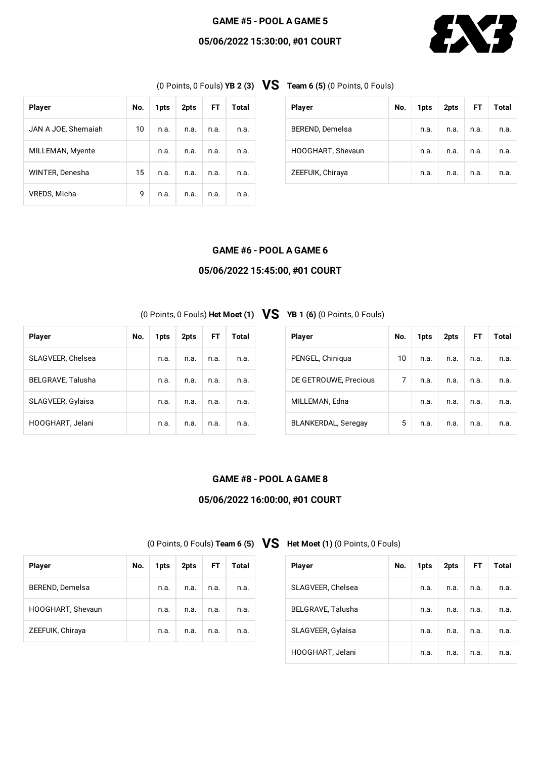### **GAME #5 - POOL A GAME 5**

### **05/06/2022 15:30:00, #01 COURT**



(0 Points, <sup>0</sup> Fouls) **YB <sup>2</sup> (3) VS Team <sup>6</sup> (5)** (0 Points, <sup>0</sup> Fouls)

| <b>Player</b>       | No. | 1pts | 2pts | FT.  | Total |
|---------------------|-----|------|------|------|-------|
| JAN A JOE, Shemaiah | 10  | n.a. | n.a. | n.a. | n.a.  |
| MILLEMAN, Myente    |     | n.a. | n.a. | n.a. | n.a.  |
| WINTER, Denesha     | 15  | n.a. | n.a. | n.a. | n.a.  |
| VREDS, Micha        | 9   | n.a. | n.a. | n.a. | n.a.  |

| <b>Player</b>     | No. | 1pts | 2pts | FT.  | Total |
|-------------------|-----|------|------|------|-------|
| BEREND, Demelsa   |     | n.a. | n.a. | n.a. | n.a.  |
| HOOGHART, Shevaun |     | n.a. | n.a. | n.a. | n.a.  |
| ZEEFUIK, Chiraya  |     | n.a. | n.a. | n.a. | n.a.  |

#### **GAME #6 - POOL A GAME 6**

### **05/06/2022 15:45:00, #01 COURT**

(0 Points, <sup>0</sup> Fouls) **Het Moet (1) VS YB <sup>1</sup> (6)** (0 Points, <sup>0</sup> Fouls)

| <b>Player</b>     | No. | 1pts | 2pts | FT.  | Total |
|-------------------|-----|------|------|------|-------|
| SLAGVEER, Chelsea |     | n.a. | n.a. | n.a. | n.a.  |
| BELGRAVE, Talusha |     | n.a. | n.a. | n.a. | n.a.  |
| SLAGVEER, Gylaisa |     | n.a. | n.a. | n.a. | n.a.  |
| HOOGHART, Jelani  |     | n.a. | n.a. | n.a. | n.a.  |

| <b>Player</b>              | No. | 1pts | 2pts | FT.  | Total |
|----------------------------|-----|------|------|------|-------|
| PENGEL, Chiniqua           | 10  | n.a. | n.a. | n.a. | n.a.  |
| DE GETROUWE, Precious      | 7   | n.a. | n.a. | n.a. | n.a.  |
| MILLEMAN, Edna             |     | n.a. | n.a. | n.a. | n.a.  |
| <b>BLANKERDAL, Seregay</b> | 5   | n.a. | n.a. | n.a. | n.a.  |

### **GAME #8 - POOL A GAME 8**

# **05/06/2022 16:00:00, #01 COURT**

(0 Points, <sup>0</sup> Fouls) **Team <sup>6</sup> (5) VS Het Moet (1)** (0 Points, <sup>0</sup> Fouls)

| <b>Player</b>     | No. | 1pts | 2pts | FT.  | Total |
|-------------------|-----|------|------|------|-------|
| SLAGVEER, Chelsea |     | n.a. | n.a. | n.a. | n.a.  |
| BELGRAVE, Talusha |     | n.a. | n.a. | n.a. | n.a.  |
| SLAGVEER, Gylaisa |     | n.a. | n.a. | n.a. | n.a.  |
| HOOGHART, Jelani  |     | n.a. | n.a. | n.a. | n.a.  |

| <b>Player</b>     | No. | 1pts | 2pts | FT.  | <b>Total</b> |
|-------------------|-----|------|------|------|--------------|
| BEREND, Demelsa   |     | n.a. | n.a. | n.a. | n.a.         |
| HOOGHART, Shevaun |     | n.a. | n.a. | n.a. | n.a.         |
| ZEEFUIK, Chiraya  |     | n.a. | n.a. | n.a. | n.a.         |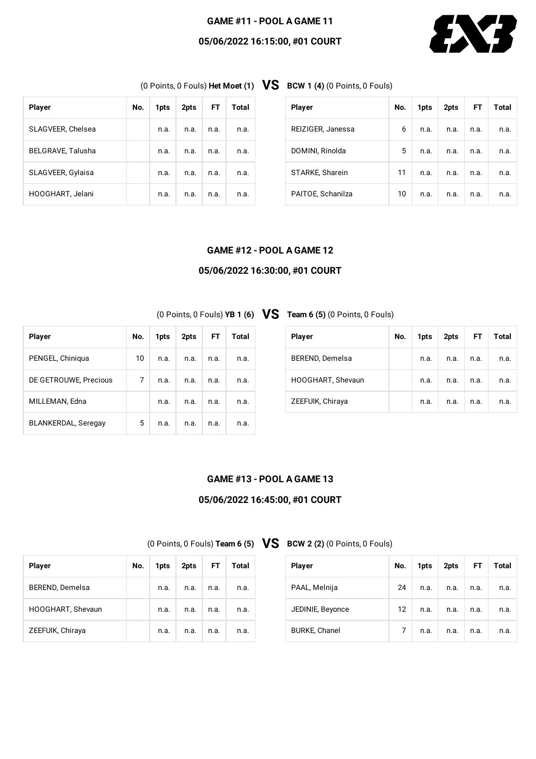#### **GAME #11 - POOL A GAME 11**

### **05/06/2022 16:15:00, #01 COURT**



(0 Points, <sup>0</sup> Fouls) **Het Moet (1) VS BCW <sup>1</sup> (4)** (0 Points, <sup>0</sup> Fouls)

| <b>Player</b>            | No. | 1pts | 2pts | FT.  | Total |
|--------------------------|-----|------|------|------|-------|
| SLAGVEER, Chelsea        |     | n.a. | n.a. | n.a. | n.a.  |
| <b>BELGRAVE, Talusha</b> |     | n.a. | n.a. | n.a. | n.a.  |
| SLAGVEER, Gylaisa        |     | n.a. | n.a. | n.a. | n.a.  |
| HOOGHART, Jelani         |     | n.a. | n.a. | n.a. | n.a.  |

| <b>Player</b>     | No. | 1pts | 2pts | FT.  | Total |
|-------------------|-----|------|------|------|-------|
| REIZIGER, Janessa | 6   | n.a. | n.a. | n.a. | n.a.  |
| DOMINI, Rinolda   | 5   | n.a. | n.a. | n.a. | n.a.  |
| STARKE, Sharein   | 11  | n.a. | n.a. | n.a. | n.a.  |
| PAITOE, Schanilza | 10  | n.a. | n.a. | n.a. | n.a.  |

#### **GAME #12 - POOL A GAME 12**

### **05/06/2022 16:30:00, #01 COURT**

(0 Points, <sup>0</sup> Fouls) **YB <sup>1</sup> (6) VS Team <sup>6</sup> (5)** (0 Points, <sup>0</sup> Fouls)

| <b>Player</b>              | No. | 1pts | 2pts | FT.  | Total |
|----------------------------|-----|------|------|------|-------|
| PENGEL, Chiniqua           | 10  | n.a. | n.a. | n.a. | n.a.  |
| DE GETROUWE, Precious      | 7   | n.a. | n.a. | n.a. | n.a.  |
| MILLEMAN, Edna             |     | n.a. | n.a. | n.a. | n.a.  |
| <b>BLANKERDAL, Seregay</b> | 5   | n.a. | n.a. | n.a. | n.a.  |

| <b>Player</b>          | No. | 1pts | $2pts$ FT |      | Total |
|------------------------|-----|------|-----------|------|-------|
| <b>BEREND, Demelsa</b> |     | n.a. | n.a.      | n.a. | n.a.  |
| HOOGHART, Shevaun      |     | n.a. | n.a.      | n.a. | n.a.  |
| ZEEFUIK, Chiraya       |     | n.a. | n.a.      | n.a. | n.a.  |

#### **GAME #13 - POOL A GAME 13**

# **05/06/2022 16:45:00, #01 COURT**

(0 Points, <sup>0</sup> Fouls) **Team <sup>6</sup> (5) VS BCW <sup>2</sup> (2)** (0 Points, <sup>0</sup> Fouls)

| <b>Player</b>        | No.               | 1pts | 2pts | FT.  | Total |
|----------------------|-------------------|------|------|------|-------|
| PAAL, Melnija        | 24                | n.a. | n.a. | n.a. | n.a.  |
| JEDINIE, Beyonce     | $12 \overline{ }$ | n.a. | n.a. | n.a. | n.a.  |
| <b>BURKE, Chanel</b> | 7                 | n.a. | n.a. | n.a. | n.a.  |

| <b>Player</b>     | No. | 1pts |      |      | 2pts FT Total |
|-------------------|-----|------|------|------|---------------|
| BEREND, Demelsa   |     | n.a. | n.a. | n.a. | n.a.          |
| HOOGHART, Shevaun |     | n.a. | n.a. | n.a. | n.a.          |
| ZEEFUIK, Chiraya  |     | n.a. | n.a. | n.a. | n.a.          |